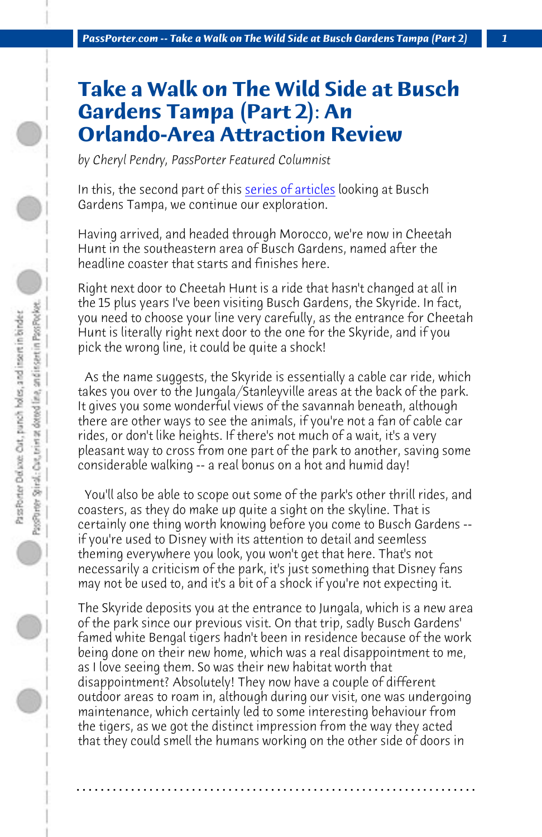*PassPorter.com -- Take a Walk on The Wild Side at Busch Gardens Tampa (Part 2) 1*

## **Take a Walk on The Wild Side at Busch Gardens Tampa (Part 2): An Orlando-Area Attraction Review**

*by Cheryl Pendry, PassPorter Featured Columnist*

In this, the second part of this series of articles looking at Busch Gardens Tampa, we continue our exploration.

Having arrived, and headed through Morocco, we're now in Cheetah Hunt in the southeastern area of Busch Gardens, named after the headline coaster that starts and finishes here.

Right next door to Cheetah Hunt is a ride that hasn't changed at all in the 15 plus years I've been visiting Busch Gardens, the Skyride. In fact, you need to choose your line very carefully, as the entrance for Cheetah Hunt is literally right next door to the one for the Skyride, and if you pick the wrong line, it could be quite a shock!

 As the name suggests, the Skyride is essentially a cable car ride, which takes you over to the Jungala/Stanleyville areas at the back of the park. It gives you some wonderful views of the savannah beneath, although there are other ways to see the animals, if you're not a fan of cable car rides, or don't like heights. If there's not much of a wait, it's a very pleasant way to cross from one part of the park to another, saving some considerable walking -- a real bonus on a hot and humid day!

 You'll also be able to scope out some of the park's other thrill rides, and coasters, as they do make up quite a sight on the skyline. That is certainly one thing worth knowing before you come to Busch Gardens - if you're used to Disney with its attention to detail and seemless theming everywhere you look, you won't get that here. That's not necessarily a criticism of the park, it's just something that Disney fans may not be used to, and it's a bit of a shock if you're not expecting it.

The Skyride deposits you at the entrance to Jungala, which is a new area of the park since our previous visit. On that trip, sadly Busch Gardens' famed white Bengal tigers hadn't been in residence because of the work being done on their new home, which was a real disappointment to me, as I love seeing them. So was their new habitat worth that disappointment? Absolutely! They now have a couple of different outdoor areas to roam in, although during our visit, one was undergoing maintenance, which certainly led to some interesting behaviour from the tigers, as we got the distinct impression from the way they acted that they could smell the humans working on the other side of doors in

**. . . . . . . . . . . . . . . . . . . . . . . . . . . . . . . . . . . . . . . . . . . . . . . . . . . . . . . . . . . . . . . . . .**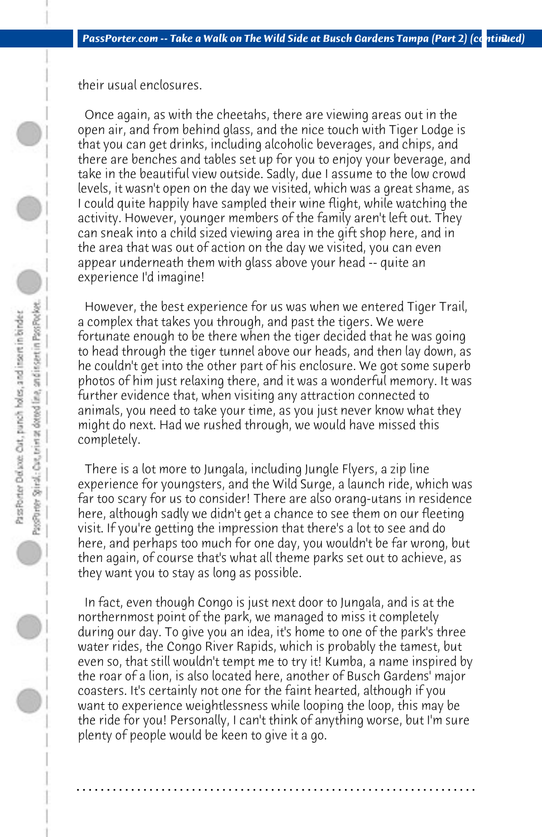their usual enclosures.

 Once again, as with the cheetahs, there are viewing areas out in the open air, and from behind glass, and the nice touch with Tiger Lodge is that you can get drinks, including alcoholic beverages, and chips, and there are benches and tables set up for you to enjoy your beverage, and take in the beautiful view outside. Sadly, due I assume to the low crowd levels, it wasn't open on the day we visited, which was a great shame, as I could quite happily have sampled their wine flight, while watching the activity. However, younger members of the family aren't left out. They can sneak into a child sized viewing area in the gift shop here, and in the area that was out of action on the day we visited, you can even appear underneath them with glass above your head -- quite an experience I'd imagine!

 However, the best experience for us was when we entered Tiger Trail, a complex that takes you through, and past the tigers. We were fortunate enough to be there when the tiger decided that he was going to head through the tiger tunnel above our heads, and then lay down, as he couldn't get into the other part of his enclosure. We got some superb photos of him just relaxing there, and it was a wonderful memory. It was further evidence that, when visiting any attraction connected to animals, you need to take your time, as you just never know what they might do next. Had we rushed through, we would have missed this completely.

 There is a lot more to Jungala, including Jungle Flyers, a zip line experience for youngsters, and the Wild Surge, a launch ride, which was far too scary for us to consider! There are also orang-utans in residence here, although sadly we didn't get a chance to see them on our fleeting visit. If you're getting the impression that there's a lot to see and do here, and perhaps too much for one day, you wouldn't be far wrong, but then again, of course that's what all theme parks set out to achieve, as they want you to stay as long as possible.

 In fact, even though Congo is just next door to Jungala, and is at the northernmost point of the park, we managed to miss it completely during our day. To give you an idea, it's home to one of the park's three water rides, the Congo River Rapids, which is probably the tamest, but even so, that still wouldn't tempt me to try it! Kumba, a name inspired by the roar of a lion, is also located here, another of Busch Gardens' major coasters. It's certainly not one for the faint hearted, although if you want to experience weightlessness while looping the loop, this may be the ride for you! Personally, I can't think of anything worse, but I'm sure plenty of people would be keen to give it a go.

**. . . . . . . . . . . . . . . . . . . . . . . . . . . . . . . . . . . . . . . . . . . . . . . . . . . . . . . . . . . . . . . . . .**